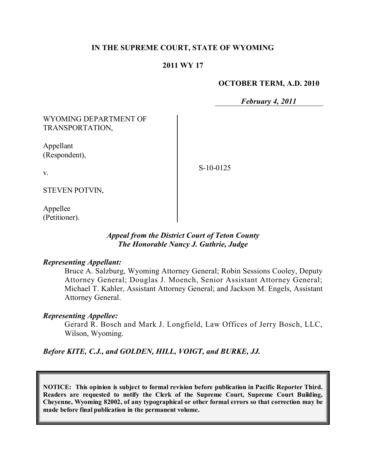## **IN THE SUPREME COURT, STATE OF WYOMING**

### **2011 WY 17**

#### **OCTOBER TERM, A.D. 2010**

*February 4, 2011*

WYOMING DEPARTMENT OF TRANSPORTATION,

Appellant (Respondent),

S-10-0125

v.

STEVEN POTVIN,

Appellee (Petitioner).

## *Appeal from the District Court of Teton County The Honorable Nancy J. Guthrie, Judge*

#### *Representing Appellant:*

Bruce A. Salzburg, Wyoming Attorney General; Robin Sessions Cooley, Deputy Attorney General; Douglas J. Moench, Senior Assistant Attorney General; Michael T. Kahler, Assistant Attorney General; and Jackson M. Engels, Assistant Attorney General.

### *Representing Appellee:*

Gerard R. Bosch and Mark J. Longfield, Law Offices of Jerry Bosch, LLC, Wilson, Wyoming.

*Before KITE, C.J., and GOLDEN, HILL, VOIGT, and BURKE, JJ.*

**NOTICE: This opinion is subject to formal revision before publication in Pacific Reporter Third. Readers are requested to notify the Clerk of the Supreme Court, Supreme Court Building, Cheyenne, Wyoming 82002, of any typographical or other formal errors so that correction may be made before final publication in the permanent volume.**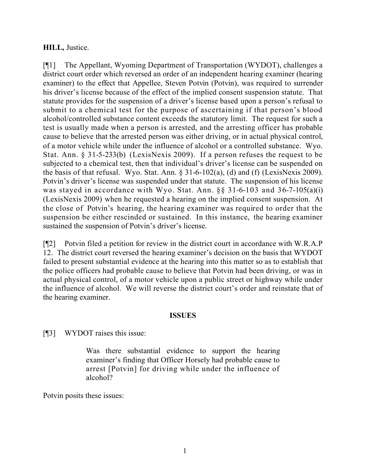## **HILL,** Justice.

[¶1] The Appellant, Wyoming Department of Transportation (WYDOT), challenges a district court order which reversed an order of an independent hearing examiner (hearing examiner) to the effect that Appellee, Steven Potvin (Potvin), was required to surrender his driver's license because of the effect of the implied consent suspension statute. That statute provides for the suspension of a driver's license based upon a person's refusal to submit to a chemical test for the purpose of ascertaining if that person's blood alcohol/controlled substance content exceeds the statutory limit. The request for such a test is usually made when a person is arrested, and the arresting officer has probable cause to believe that the arrested person was either driving, or in actual physical control, of a motor vehicle while under the influence of alcohol or a controlled substance. Wyo. Stat. Ann. § 31-5-233(b) (LexisNexis 2009). If a person refuses the request to be subjected to a chemical test, then that individual's driver's license can be suspended on the basis of that refusal. Wyo. Stat. Ann.  $\S 31-6-102(a)$ , (d) and (f) (LexisNexis 2009). Potvin's driver's license was suspended under that statute. The suspension of his license was stayed in accordance with Wyo. Stat. Ann. §§ 31-6-103 and 36-7-105(a)(i) (LexisNexis 2009) when he requested a hearing on the implied consent suspension. At the close of Potvin's hearing, the hearing examiner was required to order that the suspension be either rescinded or sustained. In this instance, the hearing examiner sustained the suspension of Potvin's driver's license.

[¶2] Potvin filed a petition for review in the district court in accordance with W.R.A.P 12. The district court reversed the hearing examiner's decision on the basis that WYDOT failed to present substantial evidence at the hearing into this matter so as to establish that the police officers had probable cause to believe that Potvin had been driving, or was in actual physical control, of a motor vehicle upon a public street or highway while under the influence of alcohol. We will reverse the district court's order and reinstate that of the hearing examiner.

### **ISSUES**

[¶3] WYDOT raises this issue:

Was there substantial evidence to support the hearing examiner's finding that Officer Horsely had probable cause to arrest [Potvin] for driving while under the influence of alcohol?

Potvin posits these issues: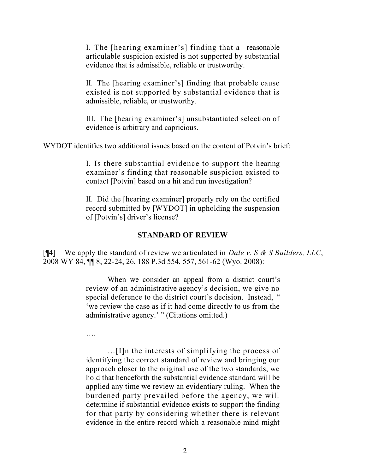I. The [hearing examiner's] finding that a reasonable articulable suspicion existed is not supported by substantial evidence that is admissible, reliable or trustworthy.

II. The [hearing examiner's] finding that probable cause existed is not supported by substantial evidence that is admissible, reliable, or trustworthy.

III. The [hearing examiner's] unsubstantiated selection of evidence is arbitrary and capricious.

WYDOT identifies two additional issues based on the content of Potvin's brief:

I. Is there substantial evidence to support the hearing examiner's finding that reasonable suspicion existed to contact [Potvin] based on a hit and run investigation?

II. Did the [hearing examiner] properly rely on the certified record submitted by [WYDOT] in upholding the suspension of [Potvin's] driver's license?

# **STANDARD OF REVIEW**

[¶4] We apply the standard of review we articulated in *Dale v. S & S Builders, LLC*, 2008 WY 84, ¶¶ 8, 22-24, 26, 188 P.3d 554, 557, 561-62 (Wyo. 2008):

> When we consider an appeal from a district court's review of an administrative agency's decision, we give no special deference to the district court's decision. Instead, " 'we review the case as if it had come directly to us from the administrative agency.' " (Citations omitted.)

….

…[I]n the interests of simplifying the process of identifying the correct standard of review and bringing our approach closer to the original use of the two standards, we hold that henceforth the substantial evidence standard will be applied any time we review an evidentiary ruling. When the burdened party prevailed before the agency, we will determine if substantial evidence exists to support the finding for that party by considering whether there is relevant evidence in the entire record which a reasonable mind might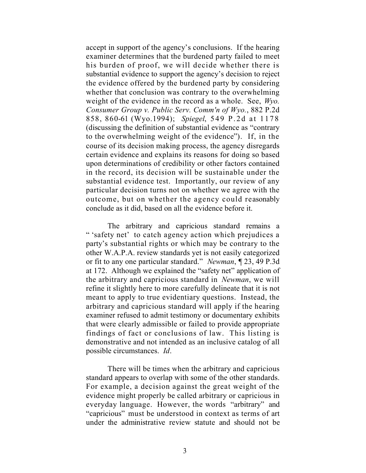accept in support of the agency's conclusions. If the hearing examiner determines that the burdened party failed to meet his burden of proof, we will decide whether there is substantial evidence to support the agency's decision to reject the evidence offered by the burdened party by considering whether that conclusion was contrary to the overwhelming weight of the evidence in the record as a whole. See, *Wyo. Consumer Group v. Public Serv. Comm'n of Wyo.*, 882 P.2d 858, 860-61 (Wyo.1994); *Spiegel*, 549 P.2d at 1178 (discussing the definition of substantial evidence as "contrary to the overwhelming weight of the evidence"). If, in the course of its decision making process, the agency disregards certain evidence and explains its reasons for doing so based upon determinations of credibility or other factors contained in the record, its decision will be sustainable under the substantial evidence test. Importantly, our review of any particular decision turns not on whether we agree with the outcome, but on whether the agency could reasonably conclude as it did, based on all the evidence before it.

The arbitrary and capricious standard remains a " 'safety net' to catch agency action which prejudices a party's substantial rights or which may be contrary to the other W.A.P.A. review standards yet is not easily categorized or fit to any one particular standard." *Newman*, ¶ 23, 49 P.3d at 172. Although we explained the "safety net" application of the arbitrary and capricious standard in *Newman*, we will refine it slightly here to more carefully delineate that it is not meant to apply to true evidentiary questions. Instead, the arbitrary and capricious standard will apply if the hearing examiner refused to admit testimony or documentary exhibits that were clearly admissible or failed to provide appropriate findings of fact or conclusions of law. This listing is demonstrative and not intended as an inclusive catalog of all possible circumstances. *Id*.

There will be times when the arbitrary and capricious standard appears to overlap with some of the other standards. For example, a decision against the great weight of the evidence might properly be called arbitrary or capricious in everyday language. However, the words "arbitrary" and "capricious" must be understood in context as terms of art under the administrative review statute and should not be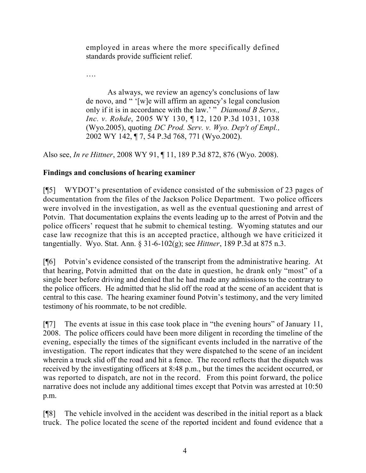employed in areas where the more specifically defined standards provide sufficient relief.

….

As always, we review an agency's conclusions of law de novo, and " '[w]e will affirm an agency's legal conclusion only if it is in accordance with the law.' " *Diamond B Servs., Inc. v. Rohde*, 2005 WY 130, ¶ 12, 120 P.3d 1031, 1038 (Wyo.2005), quoting *DC Prod. Serv. v. Wyo. Dep't of Empl.,* 2002 WY 142, ¶ 7, 54 P.3d 768, 771 (Wyo.2002).

Also see, *In re Hittner*, 2008 WY 91, ¶ 11, 189 P.3d 872, 876 (Wyo. 2008).

# **Findings and conclusions of hearing examiner**

[¶5] WYDOT's presentation of evidence consisted of the submission of 23 pages of documentation from the files of the Jackson Police Department. Two police officers were involved in the investigation, as well as the eventual questioning and arrest of Potvin. That documentation explains the events leading up to the arrest of Potvin and the police officers' request that he submit to chemical testing. Wyoming statutes and our case law recognize that this is an accepted practice, although we have criticized it tangentially. Wyo. Stat. Ann. § 31-6-102(g); see *Hittner*, 189 P.3d at 875 n.3.

[¶6] Potvin's evidence consisted of the transcript from the administrative hearing. At that hearing, Potvin admitted that on the date in question, he drank only "most" of a single beer before driving and denied that he had made any admissions to the contrary to the police officers. He admitted that he slid off the road at the scene of an accident that is central to this case. The hearing examiner found Potvin's testimony, and the very limited testimony of his roommate, to be not credible.

[¶7] The events at issue in this case took place in "the evening hours" of January 11, 2008. The police officers could have been more diligent in recording the timeline of the evening, especially the times of the significant events included in the narrative of the investigation. The report indicates that they were dispatched to the scene of an incident wherein a truck slid off the road and hit a fence. The record reflects that the dispatch was received by the investigating officers at 8:48 p.m., but the times the accident occurred, or was reported to dispatch, are not in the record. From this point forward, the police narrative does not include any additional times except that Potvin was arrested at 10:50 p.m.

[¶8] The vehicle involved in the accident was described in the initial report as a black truck. The police located the scene of the reported incident and found evidence that a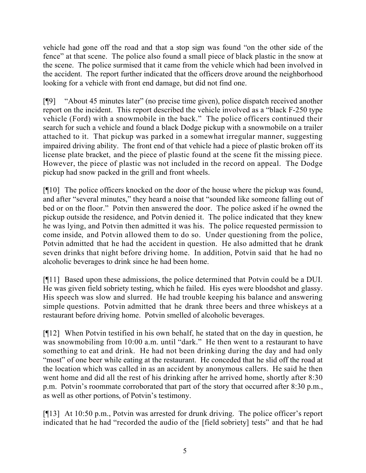vehicle had gone off the road and that a stop sign was found "on the other side of the fence" at that scene. The police also found a small piece of black plastic in the snow at the scene. The police surmised that it came from the vehicle which had been involved in the accident. The report further indicated that the officers drove around the neighborhood looking for a vehicle with front end damage, but did not find one.

[¶9] "About 45 minutes later" (no precise time given), police dispatch received another report on the incident. This report described the vehicle involved as a "black F-250 type vehicle (Ford) with a snowmobile in the back." The police officers continued their search for such a vehicle and found a black Dodge pickup with a snowmobile on a trailer attached to it. That pickup was parked in a somewhat irregular manner, suggesting impaired driving ability. The front end of that vehicle had a piece of plastic broken off its license plate bracket, and the piece of plastic found at the scene fit the missing piece. However, the piece of plastic was not included in the record on appeal. The Dodge pickup had snow packed in the grill and front wheels.

[¶10] The police officers knocked on the door of the house where the pickup was found, and after "several minutes," they heard a noise that "sounded like someone falling out of bed or on the floor." Potvin then answered the door. The police asked if he owned the pickup outside the residence, and Potvin denied it. The police indicated that they knew he was lying, and Potvin then admitted it was his. The police requested permission to come inside, and Potvin allowed them to do so. Under questioning from the police, Potvin admitted that he had the accident in question. He also admitted that he drank seven drinks that night before driving home. In addition, Potvin said that he had no alcoholic beverages to drink since he had been home.

[¶11] Based upon these admissions, the police determined that Potvin could be a DUI. He was given field sobriety testing, which he failed. His eyes were bloodshot and glassy. His speech was slow and slurred. He had trouble keeping his balance and answering simple questions. Potvin admitted that he drank three beers and three whiskeys at a restaurant before driving home. Potvin smelled of alcoholic beverages.

[¶12] When Potvin testified in his own behalf, he stated that on the day in question, he was snowmobiling from 10:00 a.m. until "dark." He then went to a restaurant to have something to eat and drink. He had not been drinking during the day and had only "most" of one beer while eating at the restaurant. He conceded that he slid off the road at the location which was called in as an accident by anonymous callers. He said he then went home and did all the rest of his drinking after he arrived home, shortly after 8:30 p.m. Potvin's roommate corroborated that part of the story that occurred after 8:30 p.m., as well as other portions, of Potvin's testimony.

[¶13] At 10:50 p.m., Potvin was arrested for drunk driving. The police officer's report indicated that he had "recorded the audio of the [field sobriety] tests" and that he had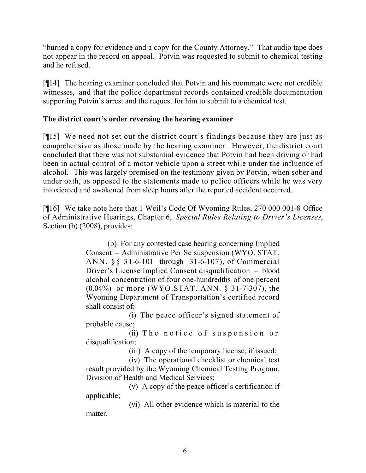"burned a copy for evidence and a copy for the County Attorney." That audio tape does not appear in the record on appeal. Potvin was requested to submit to chemical testing and he refused.

[¶14] The hearing examiner concluded that Potvin and his roommate were not credible witnesses, and that the police department records contained credible documentation supporting Potvin's arrest and the request for him to submit to a chemical test.

# **The district court's order reversing the hearing examiner**

[¶15] We need not set out the district court's findings because they are just as comprehensive as those made by the hearing examiner. However, the district court concluded that there was not substantial evidence that Potvin had been driving or had been in actual control of a motor vehicle upon a street while under the influence of alcohol. This was largely premised on the testimony given by Potvin, when sober and under oath, as opposed to the statements made to police officers while he was very intoxicated and awakened from sleep hours after the reported accident occurred.

[¶16] We take note here that 1 Weil's Code Of Wyoming Rules, 270 000 001-8 Office of Administrative Hearings, Chapter 6, *Special Rules Relating to Driver's Licenses*, Section (b) (2008), provides:

> (b) For any contested case hearing concerning Implied Consent – Administrative Per Se suspension (WYO. STAT. ANN. §§ 31-6-101 through 31-6-107), of Commercial Driver's License Implied Consent disqualification – blood alcohol concentration of four one-hundredths of one percent (0.04%) or more (WYO.STAT. ANN. § 31-7-307), the Wyoming Department of Transportation's certified record shall consist of:

> (i) The peace officer's signed statement of probable cause;

> (ii) The notice of suspension or disqualification;

(iii) A copy of the temporary license, if issued;

(iv) The operational checklist or chemical test result provided by the Wyoming Chemical Testing Program, Division of Health and Medical Services;

(v) A copy of the peace officer's certification if applicable;

(vi) All other evidence which is material to the matter.